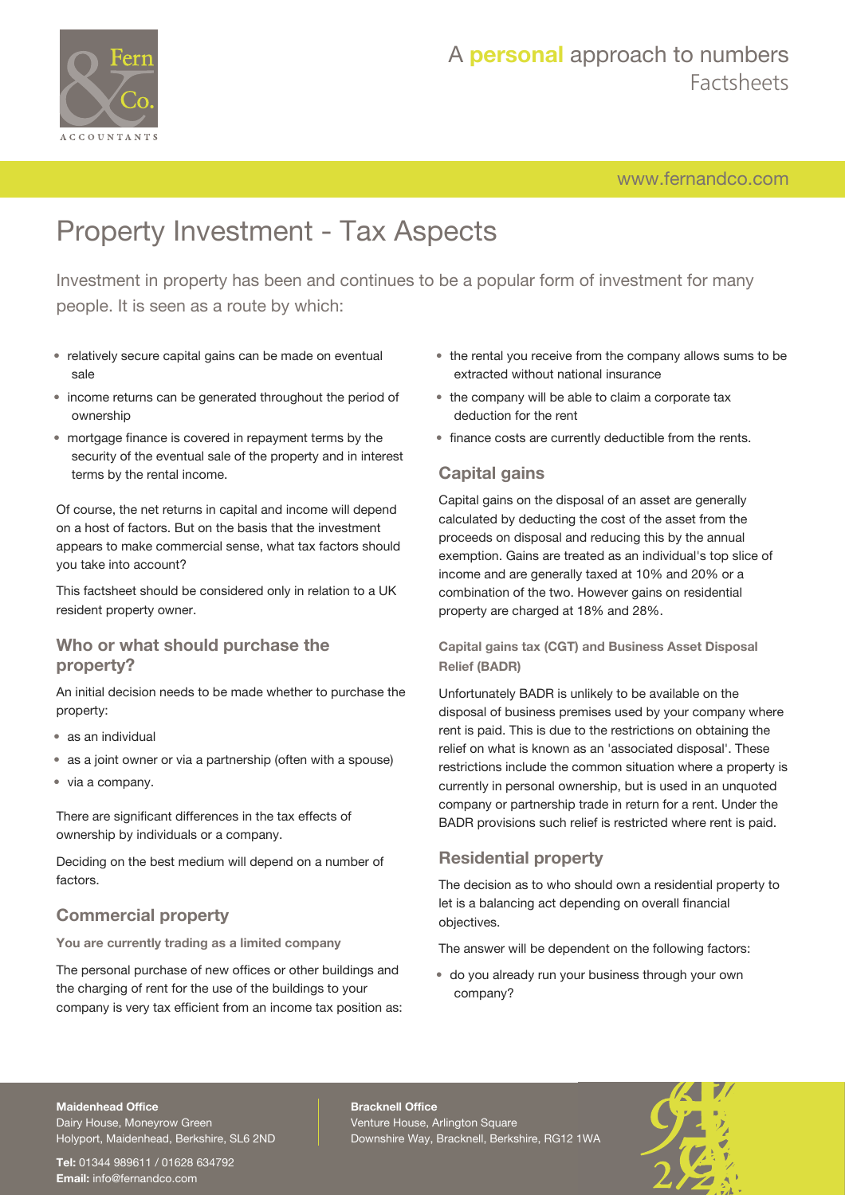

## A **personal** approach to numbers Factsheets

[www.fernandco.com](http://www.fernandco.com)

# Property Investment - Tax Aspects

Investment in property has been and continues to be a popular form of investment for many people. It is seen as a route by which:

- relatively secure capital gains can be made on eventual sale
- income returns can be generated throughout the period of ownership
- mortgage finance is covered in repayment terms by the security of the eventual sale of the property and in interest terms by the rental income.

Of course, the net returns in capital and income will depend on a host of factors. But on the basis that the investment appears to make commercial sense, what tax factors should you take into account?

This factsheet should be considered only in relation to a UK resident property owner.

### **Who or what should purchase the property?**

An initial decision needs to be made whether to purchase the property:

- as an individual
- as a joint owner or via a partnership (often with a spouse)
- via a company.

There are significant differences in the tax effects of ownership by individuals or a company.

Deciding on the best medium will depend on a number of factors.

### **Commercial property**

**You are currently trading as a limited company**

The personal purchase of new offices or other buildings and the charging of rent for the use of the buildings to your company is very tax efficient from an income tax position as:

- the rental you receive from the company allows sums to be extracted without national insurance
- the company will be able to claim a corporate tax deduction for the rent
- finance costs are currently deductible from the rents.

### **Capital gains**

Capital gains on the disposal of an asset are generally calculated by deducting the cost of the asset from the proceeds on disposal and reducing this by the annual exemption. Gains are treated as an individual's top slice of income and are generally taxed at 10% and 20% or a combination of the two. However gains on residential property are charged at 18% and 28%.

**Capital gains tax (CGT) and Business Asset Disposal Relief (BADR)**

Unfortunately BADR is unlikely to be available on the disposal of business premises used by your company where rent is paid. This is due to the restrictions on obtaining the relief on what is known as an 'associated disposal'. These restrictions include the common situation where a property is currently in personal ownership, but is used in an unquoted company or partnership trade in return for a rent. Under the BADR provisions such relief is restricted where rent is paid.

## **Residential property**

The decision as to who should own a residential property to let is a balancing act depending on overall financial objectives.

The answer will be dependent on the following factors:

• do you already run your business through your own company?

#### **Maidenhead Office**

Dairy House, Moneyrow Green Holyport, Maidenhead, Berkshire, SL6 2ND

**Tel:** 01344 989611 / 01628 634792 **Email:** [info@fernandco.com](mailto:info@fernandco.com)

**Bracknell Office** Venture House, Arlington Square Downshire Way, Bracknell, Berkshire, RG12 1WA

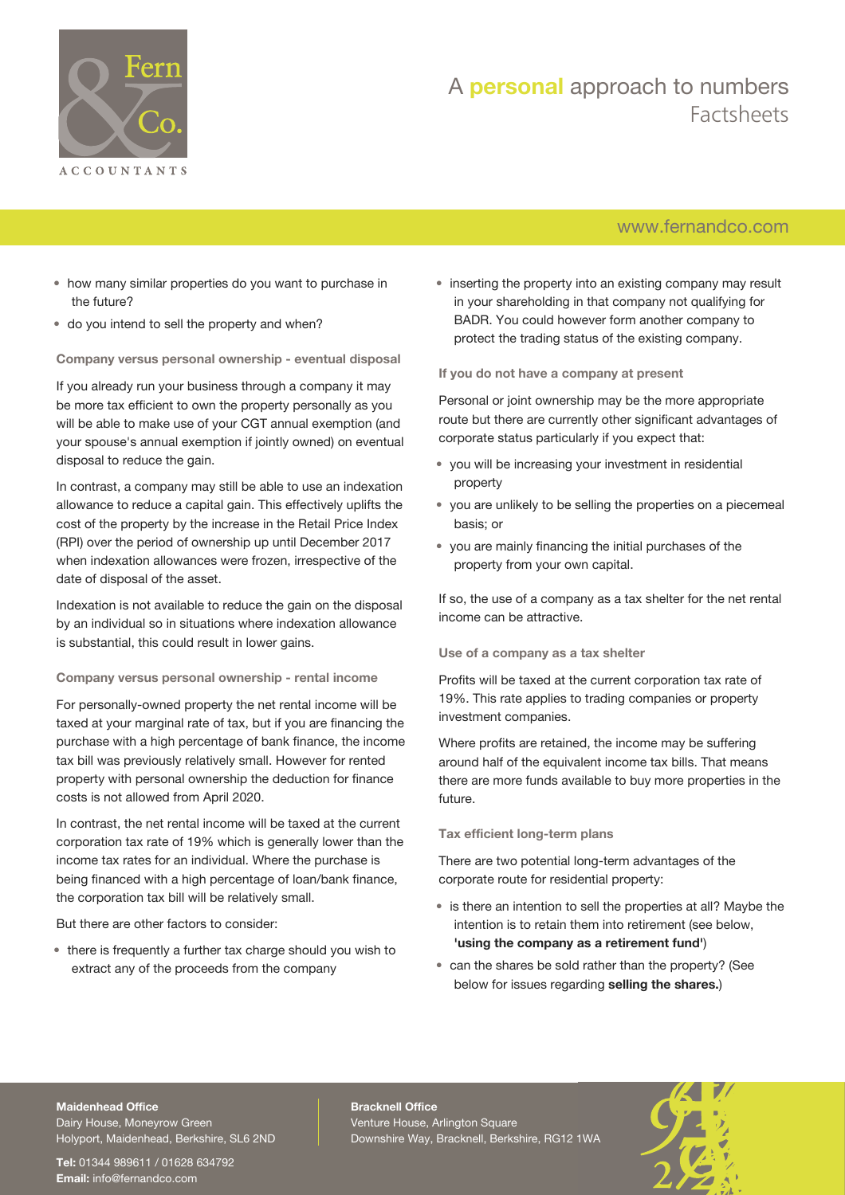

## A **personal** approach to numbers Factsheets

## [www.fernandco.com](http://www.fernandco.com)

- how many similar properties do you want to purchase in the future?
- do you intend to sell the property and when?

#### **Company versus personal ownership - eventual disposal**

If you already run your business through a company it may be more tax efficient to own the property personally as you will be able to make use of your CGT annual exemption (and your spouse's annual exemption if jointly owned) on eventual disposal to reduce the gain.

In contrast, a company may still be able to use an indexation allowance to reduce a capital gain. This effectively uplifts the cost of the property by the increase in the Retail Price Index (RPI) over the period of ownership up until December 2017 when indexation allowances were frozen, irrespective of the date of disposal of the asset.

Indexation is not available to reduce the gain on the disposal by an individual so in situations where indexation allowance is substantial, this could result in lower gains.

#### **Company versus personal ownership - rental income**

For personally-owned property the net rental income will be taxed at your marginal rate of tax, but if you are financing the purchase with a high percentage of bank finance, the income tax bill was previously relatively small. However for rented property with personal ownership the deduction for finance costs is not allowed from April 2020.

In contrast, the net rental income will be taxed at the current corporation tax rate of 19% which is generally lower than the income tax rates for an individual. Where the purchase is being financed with a high percentage of loan/bank finance, the corporation tax bill will be relatively small.

But there are other factors to consider:

• there is frequently a further tax charge should you wish to extract any of the proceeds from the company

• inserting the property into an existing company may result in your shareholding in that company not qualifying for BADR. You could however form another company to protect the trading status of the existing company.

#### **If you do not have a company at present**

Personal or joint ownership may be the more appropriate route but there are currently other significant advantages of corporate status particularly if you expect that:

- you will be increasing your investment in residential property
- you are unlikely to be selling the properties on a piecemeal basis; or
- you are mainly financing the initial purchases of the property from your own capital.

If so, the use of a company as a tax shelter for the net rental income can be attractive.

#### **Use of a company as a tax shelter**

Profits will be taxed at the current corporation tax rate of 19%. This rate applies to trading companies or property investment companies.

Where profits are retained, the income may be suffering around half of the equivalent income tax bills. That means there are more funds available to buy more properties in the future.

#### **Tax efficient long-term plans**

There are two potential long-term advantages of the corporate route for residential property:

- is there an intention to sell the properties at all? Maybe the intention is to retain them into retirement (see below, **'using the company as a retirement fund'**)
- can the shares be sold rather than the property? (See below for issues regarding **selling the shares.**)

## **Maidenhead Office**

Dairy House, Moneyrow Green Holyport, Maidenhead, Berkshire, SL6 2ND

**Tel:** 01344 989611 / 01628 634792 **Email:** [info@fernandco.com](mailto:info@fernandco.com)

**Bracknell Office** Venture House, Arlington Square Downshire Way, Bracknell, Berkshire, RG12 1WA